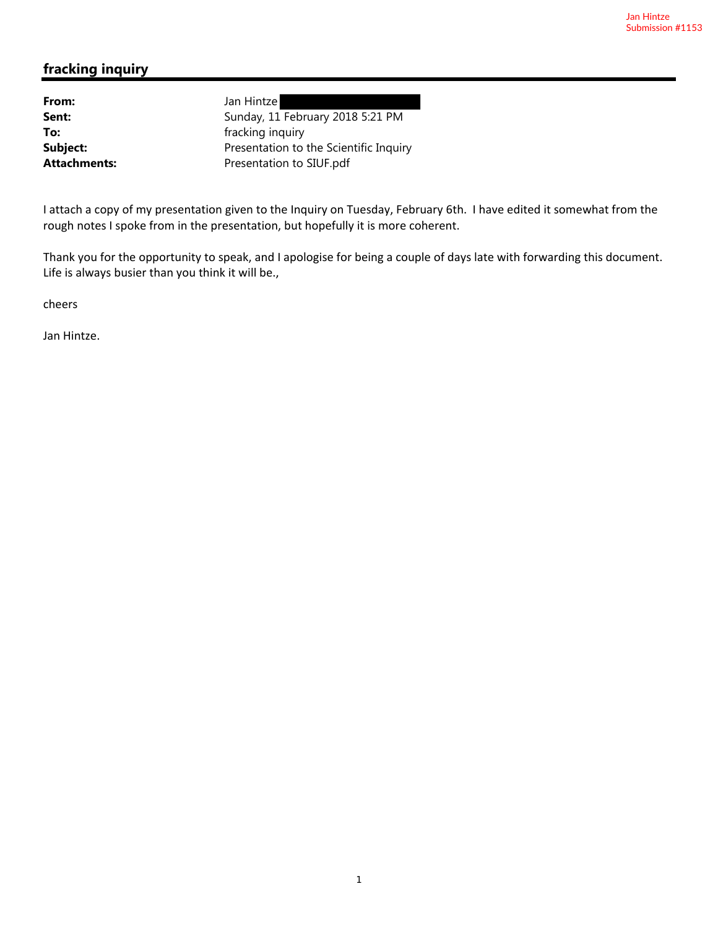## **fracking inquiry**

From: Jan Hintze

**Sent:** Sunday, 11 February 2018 5:21 PM **To:** fracking inquiry **Subject:** Presentation to the Scientific Inquiry Attachments: Presentation to SIUF.pdf

I attach a copy of my presentation given to the Inquiry on Tuesday, February 6th. I have edited it somewhat from the rough notes I spoke from in the presentation, but hopefully it is more coherent.

Thank you for the opportunity to speak, and I apologise for being a couple of days late with forwarding this document. Life is always busier than you think it will be.,

cheers

Jan Hintze.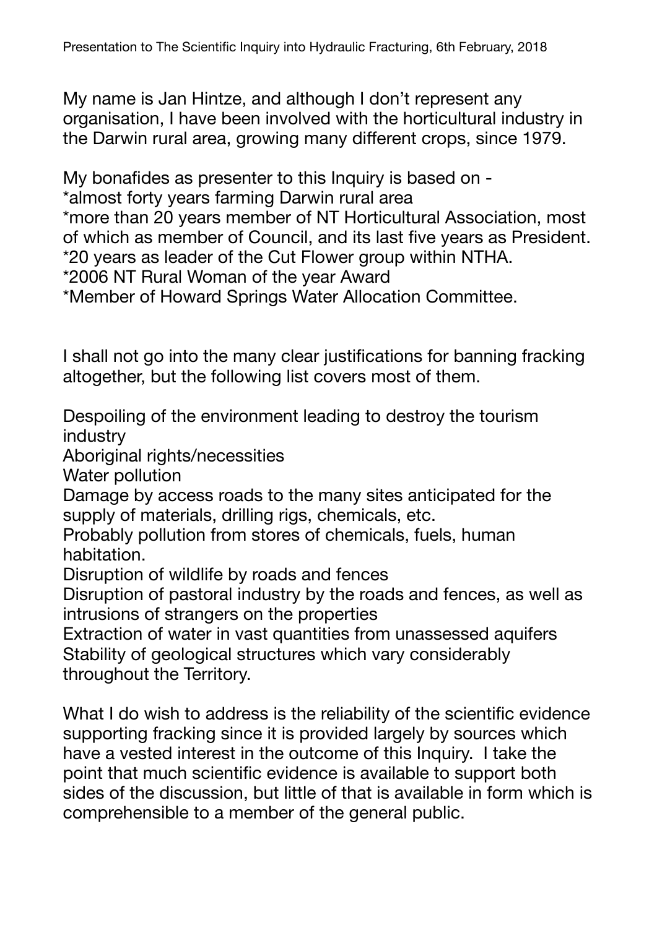My name is Jan Hintze, and although I don't represent any organisation, I have been involved with the horticultural industry in the Darwin rural area, growing many different crops, since 1979.

My bonafides as presenter to this Inquiry is based on -

\*almost forty years farming Darwin rural area

\*more than 20 years member of NT Horticultural Association, most of which as member of Council, and its last five years as President. \*20 years as leader of the Cut Flower group within NTHA.

\*2006 NT Rural Woman of the year Award

\*Member of Howard Springs Water Allocation Committee.

I shall not go into the many clear justifications for banning fracking altogether, but the following list covers most of them.

Despoiling of the environment leading to destroy the tourism industry

Aboriginal rights/necessities

Water pollution

Damage by access roads to the many sites anticipated for the supply of materials, drilling rigs, chemicals, etc.

Probably pollution from stores of chemicals, fuels, human habitation.

Disruption of wildlife by roads and fences

Disruption of pastoral industry by the roads and fences, as well as intrusions of strangers on the properties

Extraction of water in vast quantities from unassessed aquifers Stability of geological structures which vary considerably throughout the Territory.

What I do wish to address is the reliability of the scientific evidence supporting fracking since it is provided largely by sources which have a vested interest in the outcome of this Inquiry. I take the point that much scientific evidence is available to support both sides of the discussion, but little of that is available in form which is comprehensible to a member of the general public.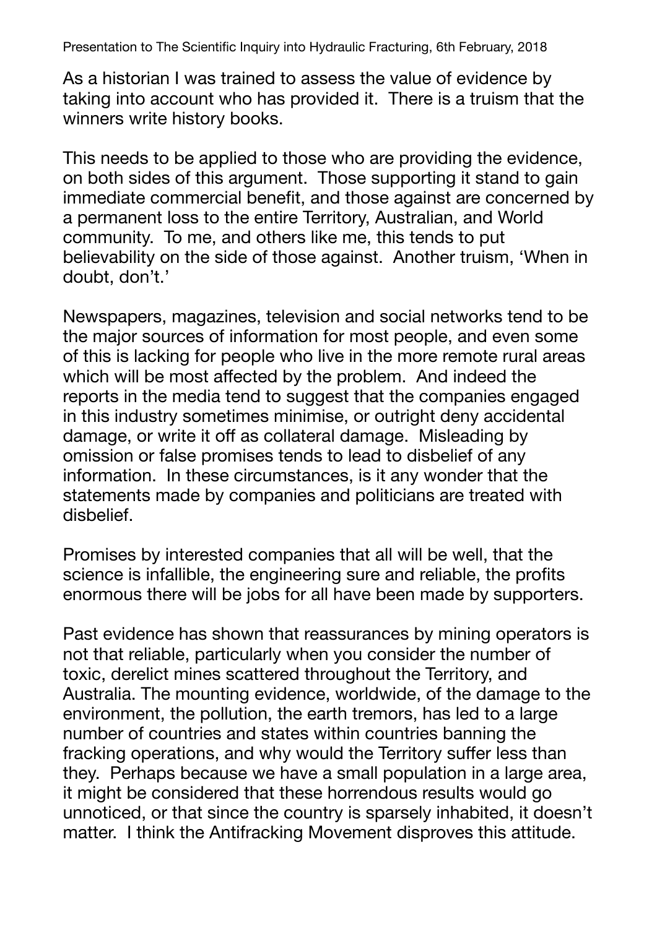Presentation to The Scientific Inquiry into Hydraulic Fracturing, 6th February, 2018

As a historian I was trained to assess the value of evidence by taking into account who has provided it. There is a truism that the winners write history books.

This needs to be applied to those who are providing the evidence, on both sides of this argument. Those supporting it stand to gain immediate commercial benefit, and those against are concerned by a permanent loss to the entire Territory, Australian, and World community. To me, and others like me, this tends to put believability on the side of those against. Another truism, 'When in doubt, don't.'

Newspapers, magazines, television and social networks tend to be the major sources of information for most people, and even some of this is lacking for people who live in the more remote rural areas which will be most affected by the problem. And indeed the reports in the media tend to suggest that the companies engaged in this industry sometimes minimise, or outright deny accidental damage, or write it off as collateral damage. Misleading by omission or false promises tends to lead to disbelief of any information. In these circumstances, is it any wonder that the statements made by companies and politicians are treated with disbelief.

Promises by interested companies that all will be well, that the science is infallible, the engineering sure and reliable, the profits enormous there will be jobs for all have been made by supporters.

Past evidence has shown that reassurances by mining operators is not that reliable, particularly when you consider the number of toxic, derelict mines scattered throughout the Territory, and Australia. The mounting evidence, worldwide, of the damage to the environment, the pollution, the earth tremors, has led to a large number of countries and states within countries banning the fracking operations, and why would the Territory suffer less than they. Perhaps because we have a small population in a large area, it might be considered that these horrendous results would go unnoticed, or that since the country is sparsely inhabited, it doesn't matter. I think the Antifracking Movement disproves this attitude.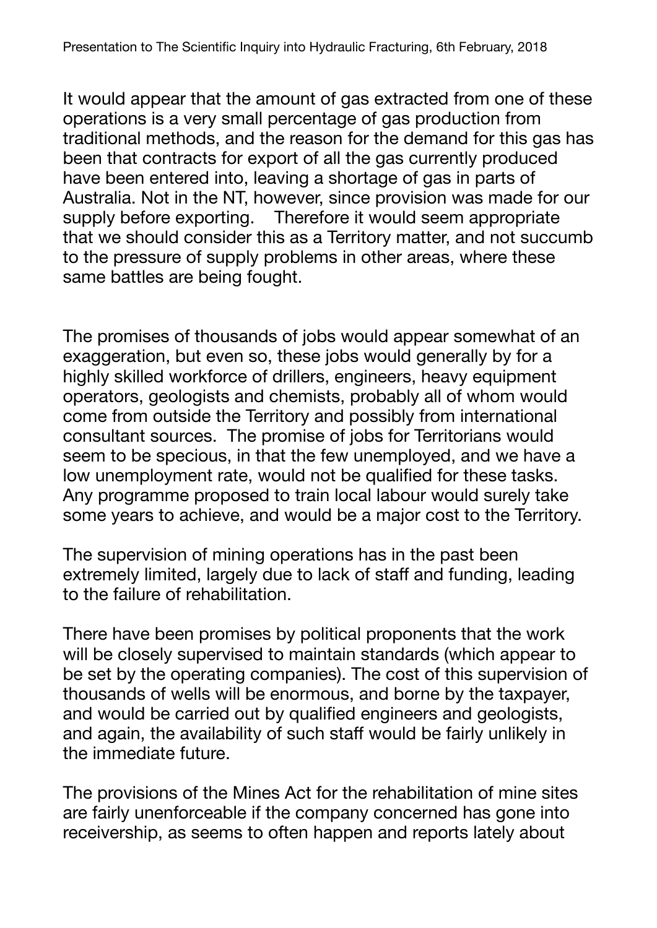It would appear that the amount of gas extracted from one of these operations is a very small percentage of gas production from traditional methods, and the reason for the demand for this gas has been that contracts for export of all the gas currently produced have been entered into, leaving a shortage of gas in parts of Australia. Not in the NT, however, since provision was made for our supply before exporting. Therefore it would seem appropriate that we should consider this as a Territory matter, and not succumb to the pressure of supply problems in other areas, where these same battles are being fought.

The promises of thousands of jobs would appear somewhat of an exaggeration, but even so, these jobs would generally by for a highly skilled workforce of drillers, engineers, heavy equipment operators, geologists and chemists, probably all of whom would come from outside the Territory and possibly from international consultant sources. The promise of jobs for Territorians would seem to be specious, in that the few unemployed, and we have a low unemployment rate, would not be qualified for these tasks. Any programme proposed to train local labour would surely take some years to achieve, and would be a major cost to the Territory.

The supervision of mining operations has in the past been extremely limited, largely due to lack of staff and funding, leading to the failure of rehabilitation.

There have been promises by political proponents that the work will be closely supervised to maintain standards (which appear to be set by the operating companies). The cost of this supervision of thousands of wells will be enormous, and borne by the taxpayer, and would be carried out by qualified engineers and geologists, and again, the availability of such staff would be fairly unlikely in the immediate future.

The provisions of the Mines Act for the rehabilitation of mine sites are fairly unenforceable if the company concerned has gone into receivership, as seems to often happen and reports lately about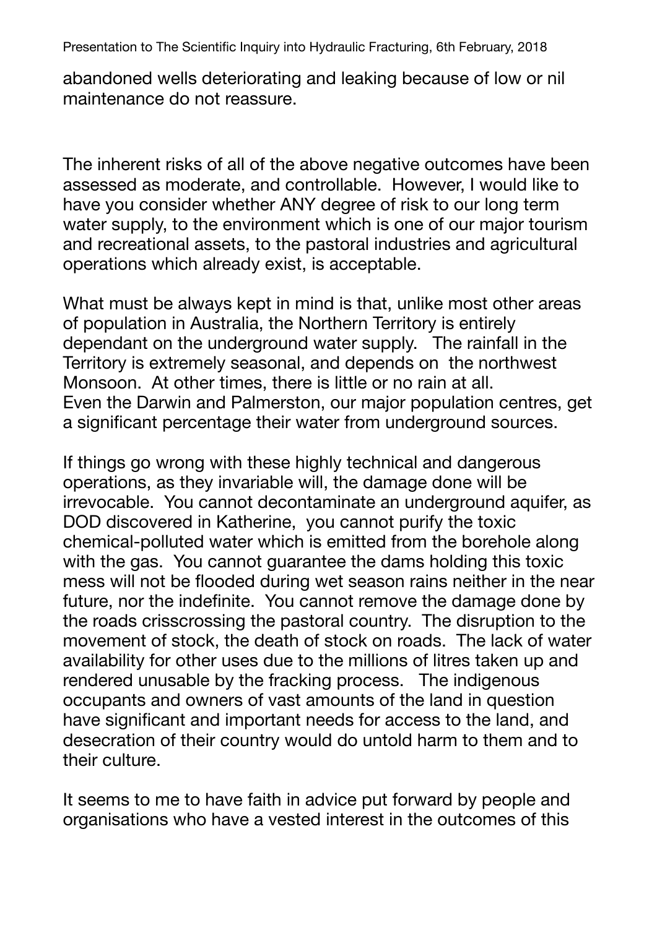Presentation to The Scientific Inquiry into Hydraulic Fracturing, 6th February, 2018

abandoned wells deteriorating and leaking because of low or nil maintenance do not reassure.

The inherent risks of all of the above negative outcomes have been assessed as moderate, and controllable. However, I would like to have you consider whether ANY degree of risk to our long term water supply, to the environment which is one of our major tourism and recreational assets, to the pastoral industries and agricultural operations which already exist, is acceptable.

What must be always kept in mind is that, unlike most other areas of population in Australia, the Northern Territory is entirely dependant on the underground water supply. The rainfall in the Territory is extremely seasonal, and depends on the northwest Monsoon. At other times, there is little or no rain at all. Even the Darwin and Palmerston, our major population centres, get a significant percentage their water from underground sources.

If things go wrong with these highly technical and dangerous operations, as they invariable will, the damage done will be irrevocable. You cannot decontaminate an underground aquifer, as DOD discovered in Katherine, you cannot purify the toxic chemical-polluted water which is emitted from the borehole along with the gas. You cannot guarantee the dams holding this toxic mess will not be flooded during wet season rains neither in the near future, nor the indefinite. You cannot remove the damage done by the roads crisscrossing the pastoral country. The disruption to the movement of stock, the death of stock on roads. The lack of water availability for other uses due to the millions of litres taken up and rendered unusable by the fracking process. The indigenous occupants and owners of vast amounts of the land in question have significant and important needs for access to the land, and desecration of their country would do untold harm to them and to their culture.

It seems to me to have faith in advice put forward by people and organisations who have a vested interest in the outcomes of this